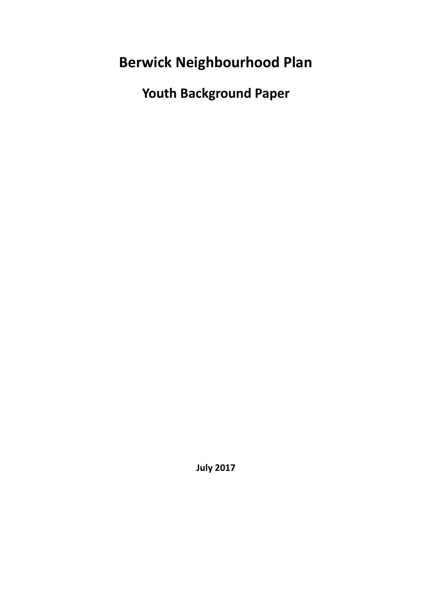**Berwick Neighbourhood Plan**

**Youth Background Paper**

**July 2017**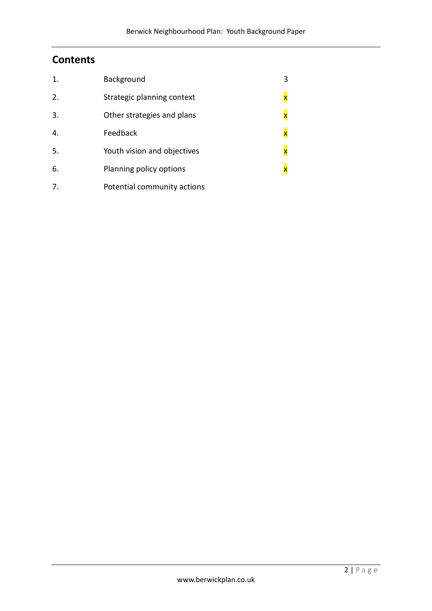## **Contents**

| 1. | Background                  | 3                       |
|----|-----------------------------|-------------------------|
| 2. | Strategic planning context  | $\overline{\mathbf{x}}$ |
| 3. | Other strategies and plans  | $\overline{\mathbf{x}}$ |
| 4. | Feedback                    | $\overline{\mathbf{x}}$ |
| 5. | Youth vision and objectives | $\mathbf{x}$            |
| 6. | Planning policy options     | $\mathsf{x}$            |
| 7. | Potential community actions |                         |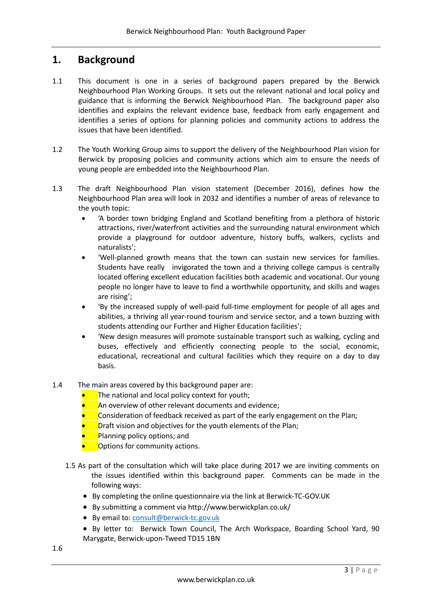## **1. Background**

- 1.1 This document is one in a series of background papers prepared by the Berwick Neighbourhood Plan Working Groups. It sets out the relevant national and local policy and guidance that is informing the Berwick Neighbourhood Plan. The background paper also identifies and explains the relevant evidence base, feedback from early engagement and identifies a series of options for planning policies and community actions to address the issues that have been identified.
- 1.2 The Youth Working Group aims to support the delivery of the Neighbourhood Plan vision for Berwick by proposing policies and community actions which aim to ensure the needs of young people are embedded into the Neighbourhood Plan.
- 1.3 The draft Neighbourhood Plan vision statement (December 2016), defines how the Neighbourhood Plan area will look in 2032 and identifies a number of areas of relevance to the youth topic:
	- 'A border town bridging England and Scotland benefiting from a plethora of historic attractions, river/waterfront activities and the surrounding natural environment which provide a playground for outdoor adventure, history buffs, walkers, cyclists and naturalists';
	- 'Well-planned growth means that the town can sustain new services for families. Students have really invigorated the town and a thriving college campus is centrally located offering excellent education facilities both academic and vocational. Our young people no longer have to leave to find a worthwhile opportunity, and skills and wages are rising';
	- 'By the increased supply of well-paid full-time employment for people of all ages and abilities, a thriving all year-round tourism and service sector, and a town buzzing with students attending our Further and Higher Education facilities';
	- 'New design measures will promote sustainable transport such as walking, cycling and buses, effectively and efficiently connecting people to the social, economic, educational, recreational and cultural facilities which they require on a day to day basis.
- 1.4 The main areas covered by this background paper are:
	- The national and local policy context for youth;
	- An overview of other relevant documents and evidence;
	- Consideration of feedback received as part of the early engagement on the Plan;
	- Draft vision and objectives for the youth elements of the Plan;
	- Planning policy options; and
	- Options for community actions.
	- 1.5 As part of the consultation which will take place during 2017 we are inviting comments on the issues identified within this background paper. Comments can be made in the following ways:
		- By completing the online questionnaire via the link at Berwick-TC-GOV.UK
		- By submitting a comment via http://www.berwickplan.co.uk/
		- By email to[: consult@berwick-tc.gov.uk](mailto:consult@berwick-tc.gov.uk)
		- By letter to: Berwick Town Council, The Arch Workspace, Boarding School Yard, 90 Marygate, Berwick-upon-Tweed TD15 1BN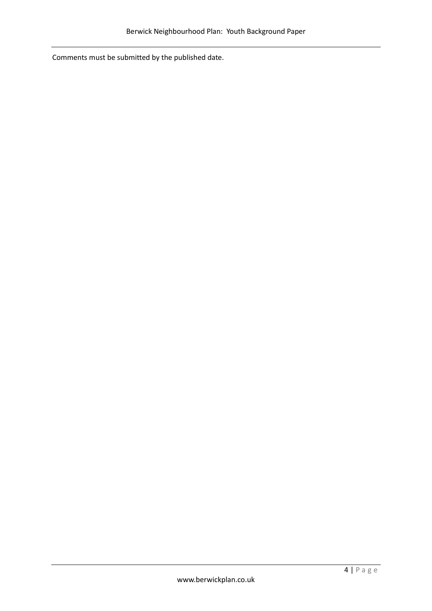Comments must be submitted by the published date.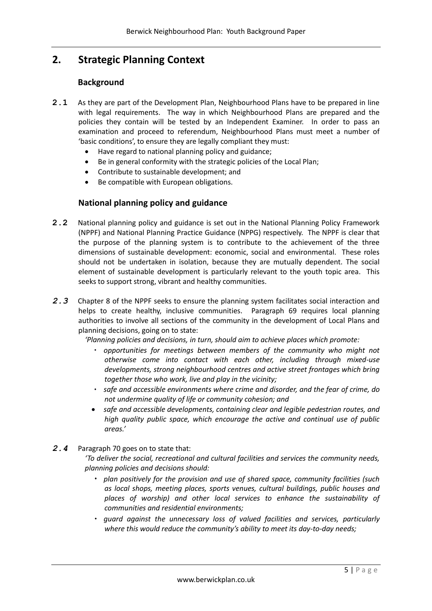# **2. Strategic Planning Context**

### **Background**

- **2.1** As they are part of the Development Plan, Neighbourhood Plans have to be prepared in line with legal requirements. The way in which Neighbourhood Plans are prepared and the policies they contain will be tested by an Independent Examiner. In order to pass an examination and proceed to referendum, Neighbourhood Plans must meet a number of 'basic conditions', to ensure they are legally compliant they must:
	- Have regard to national planning policy and guidance;
	- Be in general conformity with the strategic policies of the Local Plan;
	- Contribute to sustainable development; and
	- Be compatible with European obligations.

### **National planning policy and guidance**

- **2.2** National planning policy and guidance is set out in the National Planning Policy Framework (NPPF) and National Planning Practice Guidance (NPPG) respectively. The NPPF is clear that the purpose of the planning system is to contribute to the achievement of the three dimensions of sustainable development: economic, social and environmental. These roles should not be undertaken in isolation, because they are mutually dependent. The social element of sustainable development is particularly relevant to the youth topic area. This seeks to support strong, vibrant and healthy communities.
- 2.3 Chapter 8 of the NPPF seeks to ensure the planning system facilitates social interaction and helps to create healthy, inclusive communities. Paragraph 69 requires local planning authorities to involve all sections of the community in the development of Local Plans and planning decisions, going on to state:

*'Planning policies and decisions, in turn, should aim to achieve places which promote:*

- *opportunities for meetings between members of the community who might not otherwise come into contact with each other, including through mixed-use developments, strong neighbourhood centres and active street frontages which bring together those who work, live and play in the vicinity;*
- *safe and accessible environments where crime and disorder, and the fear of crime, do not undermine quality of life or community cohesion; and*
- *safe and accessible developments, containing clear and legible pedestrian routes, and high quality public space, which encourage the active and continual use of public areas.'*
- *2.4* Paragraph 70 goes on to state that:
	- *'To deliver the social, recreational and cultural facilities and services the community needs, planning policies and decisions should:*
		- *plan positively for the provision and use of shared space, community facilities (such as local shops, meeting places, sports venues, cultural buildings, public houses and places of worship) and other local services to enhance the sustainability of communities and residential environments;*
		- *guard against the unnecessary loss of valued facilities and services, particularly where this would reduce the community's ability to meet its day-to-day needs;*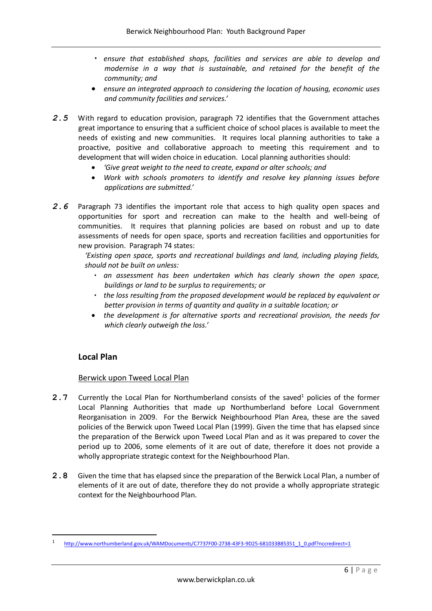- *ensure that established shops, facilities and services are able to develop and modernise in a way that is sustainable, and retained for the benefit of the community; and*
- *ensure an integrated approach to considering the location of housing, economic uses and community facilities and services.'*
- *2.5* With regard to education provision, paragraph 72 identifies that the Government attaches great importance to ensuring that a sufficient choice of school places is available to meet the needs of existing and new communities. It requires local planning authorities to take a proactive, positive and collaborative approach to meeting this requirement and to development that will widen choice in education. Local planning authorities should:
	- *'Give great weight to the need to create, expand or alter schools; and*
	- *Work with schools promoters to identify and resolve key planning issues before applications are submitted.'*
- *2.6* Paragraph 73 identifies the important role that access to high quality open spaces and opportunities for sport and recreation can make to the health and well-being of communities. It requires that planning policies are based on robust and up to date assessments of needs for open space, sports and recreation facilities and opportunities for new provision. Paragraph 74 states:

*'Existing open space, sports and recreational buildings and land, including playing fields, should not be built on unless:*

- *an assessment has been undertaken which has clearly shown the open space, buildings or land to be surplus to requirements; or*
- *the loss resulting from the proposed development would be replaced by equivalent or better provision in terms of quantity and quality in a suitable location; or*
- the development is for alternative sports and recreational provision, the needs for *which clearly outweigh the loss.'*

### **Local Plan**

**.** 

### Berwick upon Tweed Local Plan

- **2.7** Currently the Local Plan for Northumberland consists of the saved<sup>1</sup> policies of the former Local Planning Authorities that made up Northumberland before Local Government Reorganisation in 2009. For the Berwick Neighbourhood Plan Area, these are the saved policies of the Berwick upon Tweed Local Plan (1999). Given the time that has elapsed since the preparation of the Berwick upon Tweed Local Plan and as it was prepared to cover the period up to 2006, some elements of it are out of date, therefore it does not provide a wholly appropriate strategic context for the Neighbourhood Plan.
- **2.8** Given the time that has elapsed since the preparation of the Berwick Local Plan, a number of elements of it are out of date, therefore they do not provide a wholly appropriate strategic context for the Neighbourhood Plan.

<sup>1</sup> [http://www.northumberland.gov.uk/WAMDocuments/C7737F00-2738-43F3-9D25-681033B85351\\_1\\_0.pdf?nccredirect=1](http://www.northumberland.gov.uk/WAMDocuments/C7737F00-2738-43F3-9D25-681033B85351_1_0.pdf?nccredirect=1)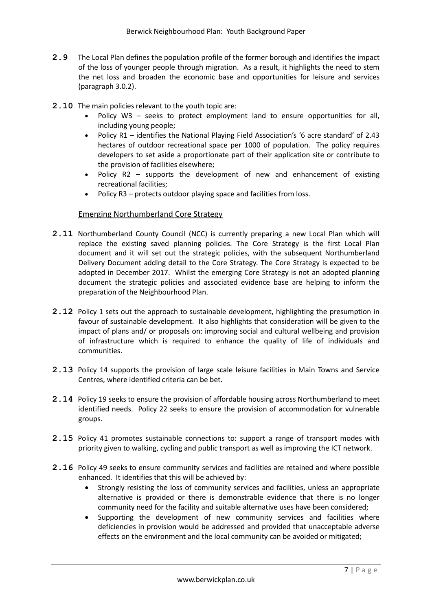- **2.9** The Local Plan defines the population profile of the former borough and identifies the impact of the loss of younger people through migration. As a result, it highlights the need to stem the net loss and broaden the economic base and opportunities for leisure and services (paragraph 3.0.2).
- **2.10** The main policies relevant to the youth topic are:
	- Policy W3 seeks to protect employment land to ensure opportunities for all, including young people;
	- Policy R1 identifies the National Playing Field Association's '6 acre standard' of 2.43 hectares of outdoor recreational space per 1000 of population. The policy requires developers to set aside a proportionate part of their application site or contribute to the provision of facilities elsewhere;
	- Policy R2 supports the development of new and enhancement of existing recreational facilities;
	- Policy R3 protects outdoor playing space and facilities from loss.

### Emerging Northumberland Core Strategy

- **2.11** Northumberland County Council (NCC) is currently preparing a new Local Plan which will replace the existing saved planning policies. The Core Strategy is the first Local Plan document and it will set out the strategic policies, with the subsequent Northumberland Delivery Document adding detail to the Core Strategy. The Core Strategy is expected to be adopted in December 2017. Whilst the emerging Core Strategy is not an adopted planning document the strategic policies and associated evidence base are helping to inform the preparation of the Neighbourhood Plan.
- **2.12** Policy 1 sets out the approach to sustainable development, highlighting the presumption in favour of sustainable development. It also highlights that consideration will be given to the impact of plans and/ or proposals on: improving social and cultural wellbeing and provision of infrastructure which is required to enhance the quality of life of individuals and communities.
- **2.13** Policy 14 supports the provision of large scale leisure facilities in Main Towns and Service Centres, where identified criteria can be bet.
- **2.14** Policy 19 seeks to ensure the provision of affordable housing across Northumberland to meet identified needs. Policy 22 seeks to ensure the provision of accommodation for vulnerable groups.
- **2.15** Policy 41 promotes sustainable connections to: support a range of transport modes with priority given to walking, cycling and public transport as well as improving the ICT network.
- **2.16** Policy 49 seeks to ensure community services and facilities are retained and where possible enhanced. It identifies that this will be achieved by:
	- Strongly resisting the loss of community services and facilities, unless an appropriate alternative is provided or there is demonstrable evidence that there is no longer community need for the facility and suitable alternative uses have been considered;
	- Supporting the development of new community services and facilities where deficiencies in provision would be addressed and provided that unacceptable adverse effects on the environment and the local community can be avoided or mitigated;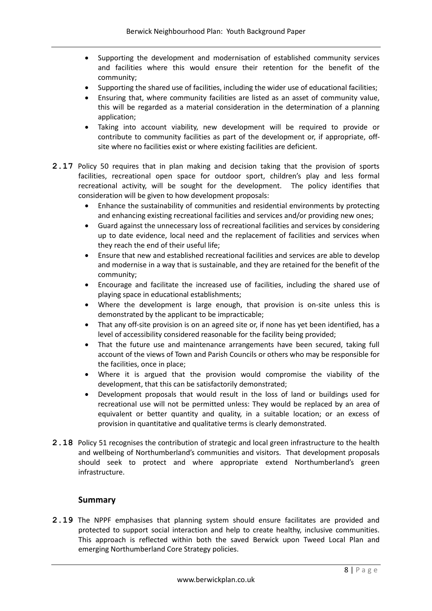- Supporting the development and modernisation of established community services and facilities where this would ensure their retention for the benefit of the community;
- Supporting the shared use of facilities, including the wider use of educational facilities;
- Ensuring that, where community facilities are listed as an asset of community value, this will be regarded as a material consideration in the determination of a planning application;
- Taking into account viability, new development will be required to provide or contribute to community facilities as part of the development or, if appropriate, offsite where no facilities exist or where existing facilities are deficient.
- **2.17** Policy 50 requires that in plan making and decision taking that the provision of sports facilities, recreational open space for outdoor sport, children's play and less formal recreational activity, will be sought for the development. The policy identifies that consideration will be given to how development proposals:
	- Enhance the sustainability of communities and residential environments by protecting and enhancing existing recreational facilities and services and/or providing new ones;
	- Guard against the unnecessary loss of recreational facilities and services by considering up to date evidence, local need and the replacement of facilities and services when they reach the end of their useful life;
	- Ensure that new and established recreational facilities and services are able to develop and modernise in a way that is sustainable, and they are retained for the benefit of the community;
	- Encourage and facilitate the increased use of facilities, including the shared use of playing space in educational establishments;
	- Where the development is large enough, that provision is on-site unless this is demonstrated by the applicant to be impracticable;
	- That any off-site provision is on an agreed site or, if none has yet been identified, has a level of accessibility considered reasonable for the facility being provided;
	- That the future use and maintenance arrangements have been secured, taking full account of the views of Town and Parish Councils or others who may be responsible for the facilities, once in place;
	- Where it is argued that the provision would compromise the viability of the development, that this can be satisfactorily demonstrated;
	- Development proposals that would result in the loss of land or buildings used for recreational use will not be permitted unless: They would be replaced by an area of equivalent or better quantity and quality, in a suitable location; or an excess of provision in quantitative and qualitative terms is clearly demonstrated.
- **2.18** Policy 51 recognises the contribution of strategic and local green infrastructure to the health and wellbeing of Northumberland's communities and visitors. That development proposals should seek to protect and where appropriate extend Northumberland's green infrastructure.

## **Summary**

**2.19** The NPPF emphasises that planning system should ensure facilitates are provided and protected to support social interaction and help to create healthy, inclusive communities. This approach is reflected within both the saved Berwick upon Tweed Local Plan and emerging Northumberland Core Strategy policies.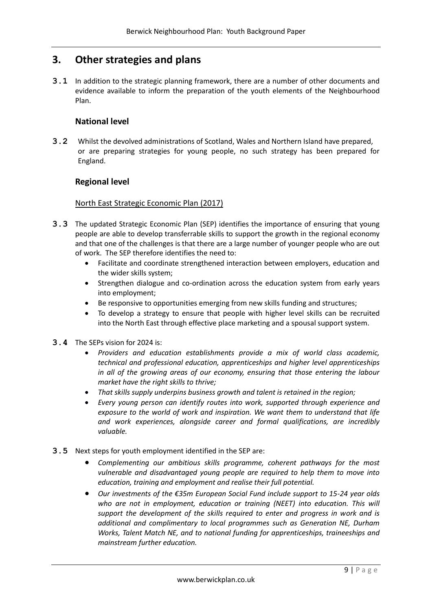## **3. Other strategies and plans**

**3.1** In addition to the strategic planning framework, there are a number of other documents and evidence available to inform the preparation of the youth elements of the Neighbourhood Plan.

### **National level**

**3.2** Whilst the devolved administrations of Scotland, Wales and Northern Island have prepared, or are preparing strategies for young people, no such strategy has been prepared for England.

## **Regional level**

### North East Strategic Economic Plan (2017)

- **3.3** The updated Strategic Economic Plan (SEP) identifies the importance of ensuring that young people are able to develop transferrable skills to support the growth in the regional economy and that one of the challenges is that there are a large number of younger people who are out of work. The SEP therefore identifies the need to:
	- Facilitate and coordinate strengthened interaction between employers, education and the wider skills system;
	- Strengthen dialogue and co-ordination across the education system from early years into employment;
	- Be responsive to opportunities emerging from new skills funding and structures;
	- To develop a strategy to ensure that people with higher level skills can be recruited into the North East through effective place marketing and a spousal support system.
- **3.4** The SEPs vision for 2024 is:
	- *Providers and education establishments provide a mix of world class academic, technical and professional education, apprenticeships and higher level apprenticeships in all of the growing areas of our economy, ensuring that those entering the labour market have the right skills to thrive;*
	- *That skills supply underpins business growth and talent is retained in the region;*
	- *Every young person can identify routes into work, supported through experience and exposure to the world of work and inspiration. We want them to understand that life and work experiences, alongside career and formal qualifications, are incredibly valuable.*
- **3.5** Next steps for youth employment identified in the SEP are:
	- *Complementing our ambitious skills programme, coherent pathways for the most vulnerable and disadvantaged young people are required to help them to move into education, training and employment and realise their full potential.*
	- *Our investments of the €35m European Social Fund include support to 15-24 year olds*  who are not in employment, education or training (NEET) into education. This will *support the development of the skills required to enter and progress in work and is additional and complimentary to local programmes such as Generation NE, Durham Works, Talent Match NE, and to national funding for apprenticeships, traineeships and mainstream further education.*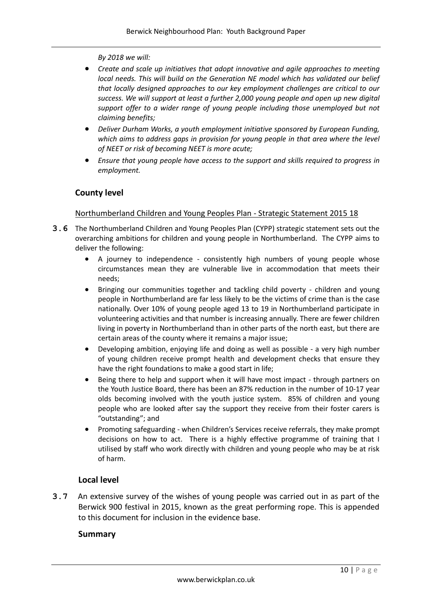*By 2018 we will:*

- *Create and scale up initiatives that adopt innovative and agile approaches to meeting local needs. This will build on the Generation NE model which has validated our belief that locally designed approaches to our key employment challenges are critical to our success. We will support at least a further 2,000 young people and open up new digital support offer to a wider range of young people including those unemployed but not claiming benefits;*
- *Deliver Durham Works, a youth employment initiative sponsored by European Funding, which aims to address gaps in provision for young people in that area where the level of NEET or risk of becoming NEET is more acute;*
- *Ensure that young people have access to the support and skills required to progress in employment.*

## **County level**

### Northumberland Children and Young Peoples Plan - Strategic Statement 2015 18

- **3.6** The Northumberland Children and Young Peoples Plan (CYPP) strategic statement sets out the overarching ambitions for children and young people in Northumberland. The CYPP aims to deliver the following:
	- A journey to independence consistently high numbers of young people whose circumstances mean they are vulnerable live in accommodation that meets their needs;
	- Bringing our communities together and tackling child poverty children and young people in Northumberland are far less likely to be the victims of crime than is the case nationally. Over 10% of young people aged 13 to 19 in Northumberland participate in volunteering activities and that number is increasing annually. There are fewer children living in poverty in Northumberland than in other parts of the north east, but there are certain areas of the county where it remains a major issue;
	- Developing ambition, enjoying life and doing as well as possible a very high number of young children receive prompt health and development checks that ensure they have the right foundations to make a good start in life;
	- Being there to help and support when it will have most impact through partners on the Youth Justice Board, there has been an 87% reduction in the number of 10-17 year olds becoming involved with the youth justice system. 85% of children and young people who are looked after say the support they receive from their foster carers is "outstanding"; and
	- Promoting safeguarding when Children's Services receive referrals, they make prompt decisions on how to act. There is a highly effective programme of training that I utilised by staff who work directly with children and young people who may be at risk of harm.

### **Local level**

**3.7** An extensive survey of the wishes of young people was carried out in as part of the Berwick 900 festival in 2015, known as the great performing rope. This is appended to this document for inclusion in the evidence base.

### **Summary**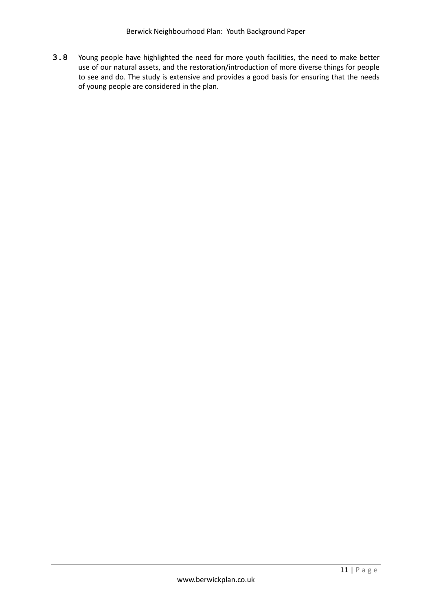**3.8** Young people have highlighted the need for more youth facilities, the need to make better use of our natural assets, and the restoration/introduction of more diverse things for people to see and do. The study is extensive and provides a good basis for ensuring that the needs of young people are considered in the plan.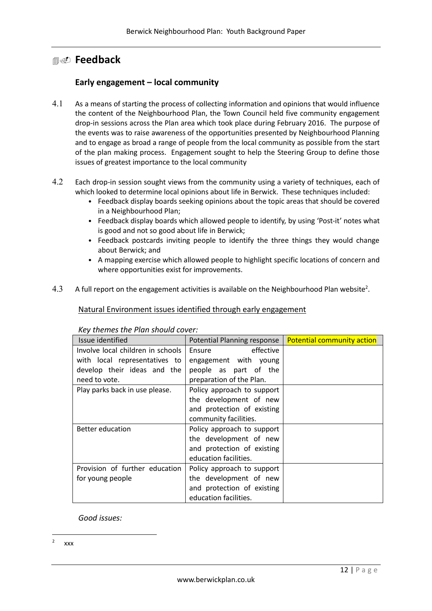## **Feedback**

## **Early engagement – local community**

- As a means of starting the process of collecting information and opinions that would influence the content of the Neighbourhood Plan, the Town Council held five community engagement drop-in sessions across the Plan area which took place during February 2016. The purpose of the events was to raise awareness of the opportunities presented by Neighbourhood Planning and to engage as broad a range of people from the local community as possible from the start of the plan making process. Engagement sought to help the Steering Group to define those issues of greatest importance to the local community
- 4.2 Each drop-in session sought views from the community using a variety of techniques, each of which looked to determine local opinions about life in Berwick. These techniques included:
	- Feedback display boards seeking opinions about the topic areas that should be covered in a Neighbourhood Plan;
	- Feedback display boards which allowed people to identify, by using 'Post-it' notes what is good and not so good about life in Berwick;
	- Feedback postcards inviting people to identify the three things they would change about Berwick; and
	- A mapping exercise which allowed people to highlight specific locations of concern and where opportunities exist for improvements.
- 4.3 A full report on the engagement activities is available on the Neighbourhood Plan website<sup>2</sup>.

### Natural Environment issues identified through early engagement

| Issue identified                  | Potential Planning response | <b>Potential community action</b> |
|-----------------------------------|-----------------------------|-----------------------------------|
| Involve local children in schools | Ensure<br>effective         |                                   |
| with local representatives to     | engagement with young       |                                   |
| develop their ideas and the       | people as part of the       |                                   |
| need to vote.                     | preparation of the Plan.    |                                   |
| Play parks back in use please.    | Policy approach to support  |                                   |
|                                   | the development of new      |                                   |
|                                   | and protection of existing  |                                   |
|                                   | community facilities.       |                                   |
| <b>Better education</b>           | Policy approach to support  |                                   |
|                                   | the development of new      |                                   |
|                                   | and protection of existing  |                                   |
|                                   | education facilities.       |                                   |
| Provision of further education    | Policy approach to support  |                                   |
| for young people                  | the development of new      |                                   |
|                                   | and protection of existing  |                                   |
|                                   | education facilities.       |                                   |

### *Key themes the Plan should cover:*

*Good issues:*

**.** 

<sup>2</sup> xxx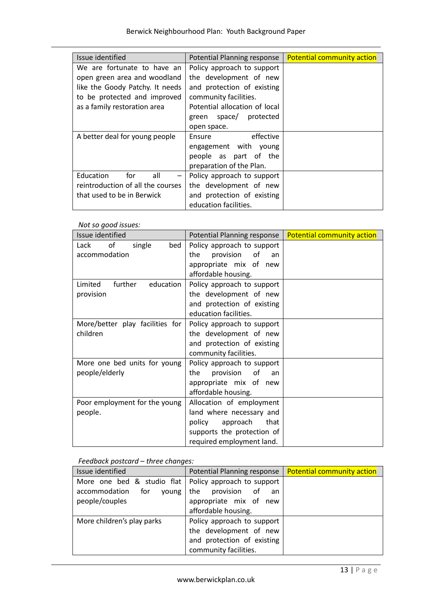| Issue identified                                    | Potential Planning response   | <b>Potential community action</b> |
|-----------------------------------------------------|-------------------------------|-----------------------------------|
| We are fortunate to have an                         | Policy approach to support    |                                   |
| open green area and woodland                        | the development of new        |                                   |
| like the Goody Patchy. It needs                     | and protection of existing    |                                   |
| to be protected and improved                        | community facilities.         |                                   |
| as a family restoration area                        | Potential allocation of local |                                   |
|                                                     | green space/ protected        |                                   |
|                                                     | open space.                   |                                   |
| A better deal for young people                      | effective<br>Ensure           |                                   |
|                                                     | engagement with young         |                                   |
|                                                     | people as part of the         |                                   |
|                                                     | preparation of the Plan.      |                                   |
| for<br>Education<br>all<br>$\overline{\phantom{m}}$ | Policy approach to support    |                                   |
| reintroduction of all the courses                   | the development of new        |                                   |
| that used to be in Berwick                          | and protection of existing    |                                   |
|                                                     | education facilities.         |                                   |

*Not so good issues:*

| Issue identified                | Potential Planning response  | <b>Potential community action</b> |
|---------------------------------|------------------------------|-----------------------------------|
| Lack<br>of<br>single<br>bed     | Policy approach to support   |                                   |
| accommodation                   | of<br>the<br>provision<br>an |                                   |
|                                 | appropriate mix of new       |                                   |
|                                 | affordable housing.          |                                   |
| further<br>Limited<br>education | Policy approach to support   |                                   |
| provision                       | the development of new       |                                   |
|                                 | and protection of existing   |                                   |
|                                 | education facilities.        |                                   |
| More/better play facilities for | Policy approach to support   |                                   |
| children                        | the development of new       |                                   |
|                                 | and protection of existing   |                                   |
|                                 | community facilities.        |                                   |
| More one bed units for young    | Policy approach to support   |                                   |
| people/elderly                  | provision<br>the<br>of<br>an |                                   |
|                                 | appropriate mix of new       |                                   |
|                                 | affordable housing.          |                                   |
| Poor employment for the young   | Allocation of employment     |                                   |
| people.                         | land where necessary and     |                                   |
|                                 | policy<br>approach<br>that   |                                   |
|                                 | supports the protection of   |                                   |
|                                 | required employment land.    |                                   |

### *Feedback postcard – three changes:*

| Issue identified                                                                                        | Potential Planning response                                                                                 | <b>Potential community action</b> |
|---------------------------------------------------------------------------------------------------------|-------------------------------------------------------------------------------------------------------------|-----------------------------------|
| More one bed & studio flat   Policy approach to support<br>accommodation for<br>voung<br>people/couples | the provision of<br>an an<br>appropriate mix of new<br>affordable housing.                                  |                                   |
| More children's play parks                                                                              | Policy approach to support<br>the development of new<br>and protection of existing<br>community facilities. |                                   |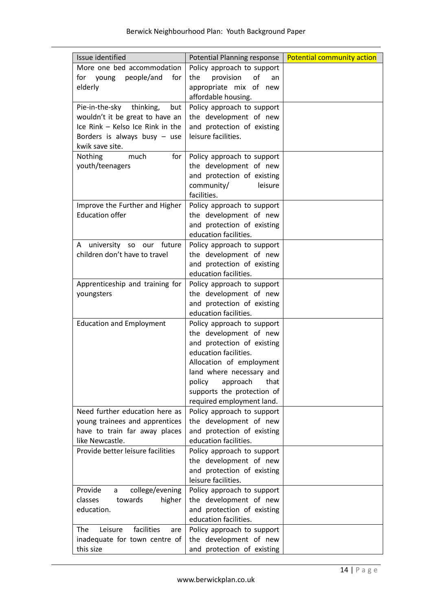| Issue identified                                     | Potential Planning response                          | <b>Potential community action</b> |
|------------------------------------------------------|------------------------------------------------------|-----------------------------------|
| More one bed accommodation                           | Policy approach to support                           |                                   |
| people/and<br>for young<br>for                       | the<br>provision<br>of<br>an                         |                                   |
| elderly                                              | appropriate mix of new                               |                                   |
|                                                      | affordable housing.                                  |                                   |
| Pie-in-the-sky<br>thinking,<br>but                   | Policy approach to support                           |                                   |
| wouldn't it be great to have an                      | the development of new                               |                                   |
| Ice Rink - Kelso Ice Rink in the                     | and protection of existing<br>leisure facilities.    |                                   |
| Borders is always busy $-$ use<br>kwik save site.    |                                                      |                                   |
| Nothing<br>much<br>for                               | Policy approach to support                           |                                   |
| youth/teenagers                                      | the development of new                               |                                   |
|                                                      | and protection of existing                           |                                   |
|                                                      | community/<br>leisure                                |                                   |
|                                                      | facilities.                                          |                                   |
| Improve the Further and Higher                       | Policy approach to support                           |                                   |
| <b>Education offer</b>                               | the development of new                               |                                   |
|                                                      | and protection of existing                           |                                   |
|                                                      | education facilities.                                |                                   |
| A university so our future                           | Policy approach to support                           |                                   |
| children don't have to travel                        | the development of new                               |                                   |
|                                                      | and protection of existing                           |                                   |
|                                                      | education facilities.                                |                                   |
| Apprenticeship and training for                      | Policy approach to support                           |                                   |
| youngsters                                           | the development of new<br>and protection of existing |                                   |
|                                                      | education facilities.                                |                                   |
| <b>Education and Employment</b>                      | Policy approach to support                           |                                   |
|                                                      | the development of new                               |                                   |
|                                                      | and protection of existing                           |                                   |
|                                                      | education facilities.                                |                                   |
|                                                      | Allocation of employment                             |                                   |
|                                                      | land where necessary and                             |                                   |
|                                                      | policy<br>approach<br>that                           |                                   |
|                                                      | supports the protection of                           |                                   |
|                                                      | required employment land.                            |                                   |
| Need further education here as                       | Policy approach to support                           |                                   |
| young trainees and apprentices                       | the development of new                               |                                   |
| have to train far away places                        | and protection of existing                           |                                   |
| like Newcastle.<br>Provide better leisure facilities | education facilities.                                |                                   |
|                                                      | Policy approach to support<br>the development of new |                                   |
|                                                      | and protection of existing                           |                                   |
|                                                      | leisure facilities.                                  |                                   |
| Provide<br>college/evening<br>a                      | Policy approach to support                           |                                   |
| classes<br>higher<br>towards                         | the development of new                               |                                   |
| education.                                           | and protection of existing                           |                                   |
|                                                      | education facilities.                                |                                   |
| facilities<br>Leisure<br><b>The</b><br>are           | Policy approach to support                           |                                   |
| inadequate for town centre of                        | the development of new                               |                                   |
| this size                                            | and protection of existing                           |                                   |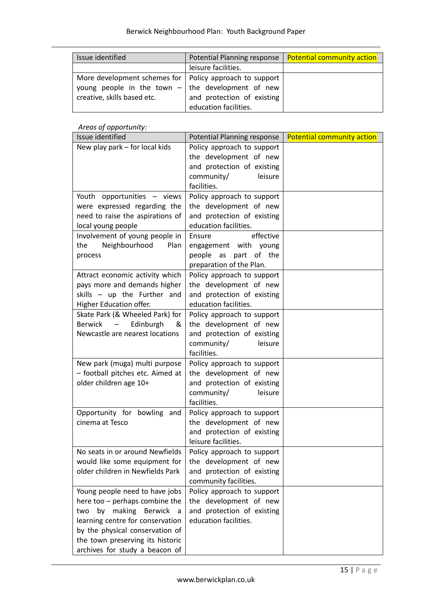| Issue identified                                          | Potential Planning response | Potential community action |
|-----------------------------------------------------------|-----------------------------|----------------------------|
|                                                           | leisure facilities.         |                            |
| More development schemes for   Policy approach to support |                             |                            |
| young people in the town $-$ the development of new       |                             |                            |
| creative, skills based etc.                               | and protection of existing  |                            |
|                                                           | education facilities.       |                            |

## *Areas of opportunity:*

| Issue identified                                                 | Potential Planning response                          | <b>Potential community action</b> |
|------------------------------------------------------------------|------------------------------------------------------|-----------------------------------|
| New play park – for local kids                                   | Policy approach to support                           |                                   |
|                                                                  | the development of new                               |                                   |
|                                                                  | and protection of existing                           |                                   |
|                                                                  | community/<br>leisure                                |                                   |
|                                                                  | facilities.                                          |                                   |
| Youth opportunities - views                                      | Policy approach to support                           |                                   |
| were expressed regarding the                                     | the development of new                               |                                   |
| need to raise the aspirations of                                 | and protection of existing                           |                                   |
| local young people                                               | education facilities.                                |                                   |
| Involvement of young people in                                   | effective<br>Ensure                                  |                                   |
| Neighbourhood<br>Plan<br>the                                     | engagement with young                                |                                   |
| process                                                          | people as<br>part of the                             |                                   |
|                                                                  | preparation of the Plan.                             |                                   |
| Attract economic activity which<br>pays more and demands higher  | Policy approach to support<br>the development of new |                                   |
| skills - up the Further and                                      | and protection of existing                           |                                   |
| Higher Education offer.                                          | education facilities.                                |                                   |
| Skate Park (& Wheeled Park) for                                  | Policy approach to support                           |                                   |
| <b>Berwick</b><br>Edinburgh<br>&<br>$\overline{\phantom{m}}$     | the development of new                               |                                   |
| Newcastle are nearest locations                                  | and protection of existing                           |                                   |
|                                                                  | community/<br>leisure                                |                                   |
|                                                                  | facilities.                                          |                                   |
| New park (muga) multi purpose                                    | Policy approach to support                           |                                   |
| - football pitches etc. Aimed at                                 | the development of new                               |                                   |
| older children age 10+                                           | and protection of existing                           |                                   |
|                                                                  | community/<br>leisure                                |                                   |
|                                                                  | facilities.                                          |                                   |
| Opportunity for bowling and                                      | Policy approach to support                           |                                   |
| cinema at Tesco                                                  | the development of new                               |                                   |
|                                                                  | and protection of existing                           |                                   |
|                                                                  | leisure facilities.                                  |                                   |
| No seats in or around Newfields                                  | Policy approach to support                           |                                   |
| would like some equipment for                                    | the development of new                               |                                   |
| older children in Newfields Park                                 | and protection of existing                           |                                   |
|                                                                  | community facilities.                                |                                   |
| Young people need to have jobs<br>here too - perhaps combine the | Policy approach to support<br>the development of new |                                   |
| making<br>Berwick<br>two<br>by                                   | and protection of existing                           |                                   |
| a<br>learning centre for conservation                            | education facilities.                                |                                   |
| by the physical conservation of                                  |                                                      |                                   |
| the town preserving its historic                                 |                                                      |                                   |
| archives for study a beacon of                                   |                                                      |                                   |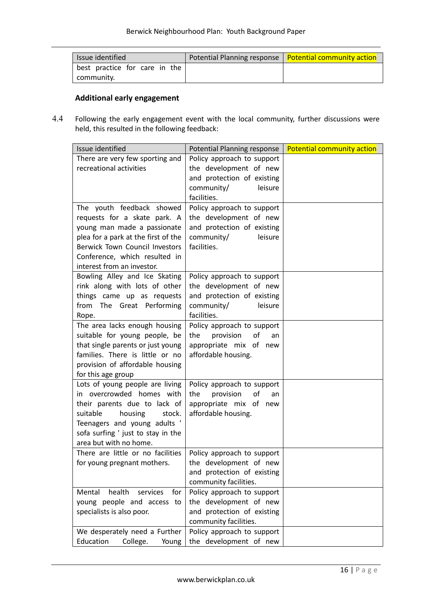| Issue identified                            | Potential Planning response   Potential community action |
|---------------------------------------------|----------------------------------------------------------|
| best practice for care in the<br>community. |                                                          |
|                                             |                                                          |

## **Additional early engagement**

4.4 Following the early engagement event with the local community, further discussions were held, this resulted in the following feedback:

| Issue identified                      | <b>Potential Planning response</b> | <b>Potential community action</b> |
|---------------------------------------|------------------------------------|-----------------------------------|
| There are very few sporting and       | Policy approach to support         |                                   |
| recreational activities               | the development of new             |                                   |
|                                       | and protection of existing         |                                   |
|                                       | community/<br>leisure              |                                   |
|                                       | facilities.                        |                                   |
| The youth feedback showed             | Policy approach to support         |                                   |
| requests for a skate park. A          | the development of new             |                                   |
| young man made a passionate           | and protection of existing         |                                   |
| plea for a park at the first of the   | community/<br>leisure              |                                   |
| <b>Berwick Town Council Investors</b> | facilities.                        |                                   |
| Conference, which resulted in         |                                    |                                   |
| interest from an investor.            |                                    |                                   |
| Bowling Alley and Ice Skating         | Policy approach to support         |                                   |
| rink along with lots of other         | the development of new             |                                   |
| things came up as requests            | and protection of existing         |                                   |
| from The Great Performing             | community/<br>leisure              |                                   |
| Rope.                                 | facilities.                        |                                   |
| The area lacks enough housing         | Policy approach to support         |                                   |
| suitable for young people, be         | the<br>provision<br>οf<br>an       |                                   |
| that single parents or just young     | appropriate mix of new             |                                   |
| families. There is little or no       | affordable housing.                |                                   |
| provision of affordable housing       |                                    |                                   |
| for this age group                    |                                    |                                   |
| Lots of young people are living       | Policy approach to support         |                                   |
| in overcrowded homes with             | of<br>the<br>provision<br>an       |                                   |
| their parents due to lack of          | appropriate mix of new             |                                   |
| suitable<br>housing<br>stock.         | affordable housing.                |                                   |
| Teenagers and young adults '          |                                    |                                   |
| sofa surfing ' just to stay in the    |                                    |                                   |
| area but with no home.                |                                    |                                   |
| There are little or no facilities     | Policy approach to support         |                                   |
| for young pregnant mothers.           | the development of new             |                                   |
|                                       | and protection of existing         |                                   |
|                                       | community facilities.              |                                   |
| health<br>Mental<br>services<br>for   | Policy approach to support         |                                   |
| young people and access to            | the development of new             |                                   |
| specialists is also poor.             | and protection of existing         |                                   |
|                                       | community facilities.              |                                   |
| We desperately need a Further         | Policy approach to support         |                                   |
| Education<br>College.<br>Young        | the development of new             |                                   |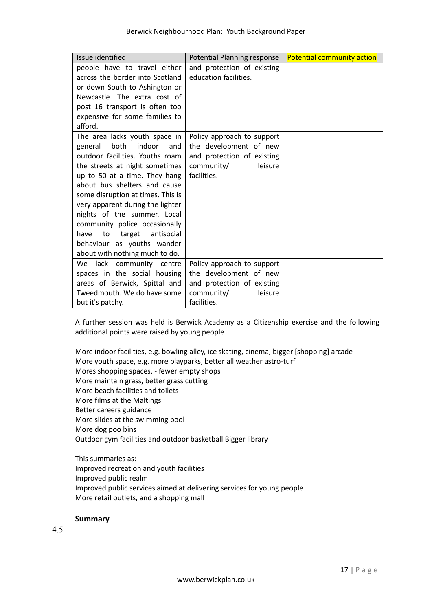| Issue identified                                                                                                                                                                                                                                                                                                                                 | Potential Planning response                                                                                                | <b>Potential community action</b> |
|--------------------------------------------------------------------------------------------------------------------------------------------------------------------------------------------------------------------------------------------------------------------------------------------------------------------------------------------------|----------------------------------------------------------------------------------------------------------------------------|-----------------------------------|
| people have to travel either                                                                                                                                                                                                                                                                                                                     | and protection of existing                                                                                                 |                                   |
| across the border into Scotland                                                                                                                                                                                                                                                                                                                  | education facilities.                                                                                                      |                                   |
| or down South to Ashington or                                                                                                                                                                                                                                                                                                                    |                                                                                                                            |                                   |
| Newcastle. The extra cost of                                                                                                                                                                                                                                                                                                                     |                                                                                                                            |                                   |
| post 16 transport is often too                                                                                                                                                                                                                                                                                                                   |                                                                                                                            |                                   |
| expensive for some families to                                                                                                                                                                                                                                                                                                                   |                                                                                                                            |                                   |
| afford.                                                                                                                                                                                                                                                                                                                                          |                                                                                                                            |                                   |
| The area lacks youth space in<br>both<br>indoor<br>general<br>and<br>outdoor facilities. Youths roam<br>the streets at night sometimes<br>up to 50 at a time. They hang<br>about bus shelters and cause<br>some disruption at times. This is<br>very apparent during the lighter<br>nights of the summer. Local<br>community police occasionally | Policy approach to support<br>the development of new<br>and protection of existing<br>community/<br>leisure<br>facilities. |                                   |
| antisocial<br>to<br>target<br>have                                                                                                                                                                                                                                                                                                               |                                                                                                                            |                                   |
| behaviour as youths wander                                                                                                                                                                                                                                                                                                                       |                                                                                                                            |                                   |
| about with nothing much to do.                                                                                                                                                                                                                                                                                                                   |                                                                                                                            |                                   |
| lack<br>community centre<br>We                                                                                                                                                                                                                                                                                                                   | Policy approach to support                                                                                                 |                                   |
| spaces in the social housing                                                                                                                                                                                                                                                                                                                     | the development of new                                                                                                     |                                   |
| areas of Berwick, Spittal and                                                                                                                                                                                                                                                                                                                    | and protection of existing                                                                                                 |                                   |
| Tweedmouth. We do have some                                                                                                                                                                                                                                                                                                                      | community/<br>leisure                                                                                                      |                                   |
| but it's patchy.                                                                                                                                                                                                                                                                                                                                 | facilities.                                                                                                                |                                   |

A further session was held is Berwick Academy as a Citizenship exercise and the following additional points were raised by young people

More indoor facilities, e.g. bowling alley, ice skating, cinema, bigger [shopping] arcade More youth space, e.g. more playparks, better all weather astro-turf Mores shopping spaces, - fewer empty shops More maintain grass, better grass cutting More beach facilities and toilets More films at the Maltings Better careers guidance More slides at the swimming pool More dog poo bins Outdoor gym facilities and outdoor basketball Bigger library

This summaries as: Improved recreation and youth facilities Improved public realm Improved public services aimed at delivering services for young people More retail outlets, and a shopping mall

### **Summary**

 $45$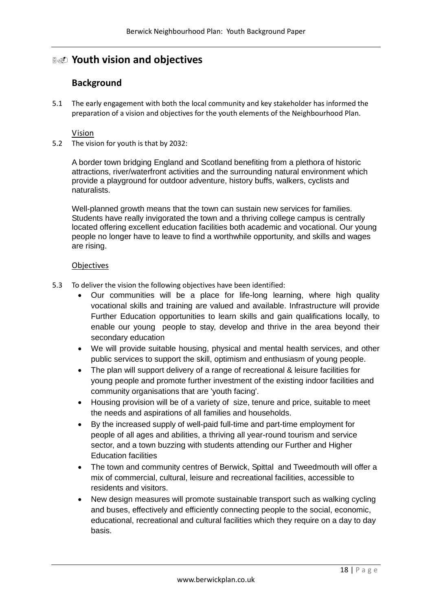## **Youth vision and objectives**

## **Background**

5.1 The early engagement with both the local community and key stakeholder has informed the preparation of a vision and objectives for the youth elements of the Neighbourhood Plan.

### Vision

5.2 The vision for youth is that by 2032:

A border town bridging England and Scotland benefiting from a plethora of historic attractions, river/waterfront activities and the surrounding natural environment which provide a playground for outdoor adventure, history buffs, walkers, cyclists and naturalists.

Well-planned growth means that the town can sustain new services for families. Students have really invigorated the town and a thriving college campus is centrally located offering excellent education facilities both academic and vocational. Our young people no longer have to leave to find a worthwhile opportunity, and skills and wages are rising.

### **Objectives**

- 5.3 To deliver the vision the following objectives have been identified:
	- Our communities will be a place for life-long learning, where high quality vocational skills and training are valued and available. Infrastructure will provide Further Education opportunities to learn skills and gain qualifications locally, to enable our young people to stay, develop and thrive in the area beyond their secondary education
	- We will provide suitable housing, physical and mental health services, and other public services to support the skill, optimism and enthusiasm of young people.
	- The plan will support delivery of a range of recreational & leisure facilities for young people and promote further investment of the existing indoor facilities and community organisations that are 'youth facing'.
	- Housing provision will be of a variety of size, tenure and price, suitable to meet the needs and aspirations of all families and households.
	- By the increased supply of well-paid full-time and part-time employment for people of all ages and abilities, a thriving all year-round tourism and service sector, and a town buzzing with students attending our Further and Higher Education facilities
	- The town and community centres of Berwick, Spittal and Tweedmouth will offer a mix of commercial, cultural, leisure and recreational facilities, accessible to residents and visitors.
	- New design measures will promote sustainable transport such as walking cycling and buses, effectively and efficiently connecting people to the social, economic, educational, recreational and cultural facilities which they require on a day to day basis.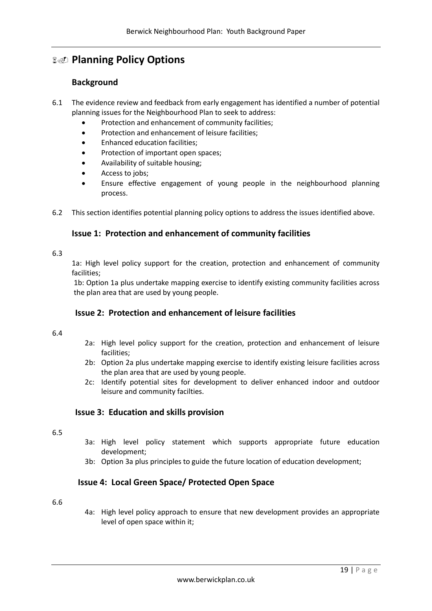## **Planning Policy Options**

## **Background**

- 6.1 The evidence review and feedback from early engagement has identified a number of potential planning issues for the Neighbourhood Plan to seek to address:
	- Protection and enhancement of community facilities;
	- Protection and enhancement of leisure facilities;
	- Enhanced education facilities;
	- Protection of important open spaces;
	- Availability of suitable housing;
	- Access to jobs:
	- Ensure effective engagement of young people in the neighbourhood planning process.
- 6.2 This section identifies potential planning policy options to address the issues identified above.

## **Issue 1: Protection and enhancement of community facilities**

#### 6.3

1a: High level policy support for the creation, protection and enhancement of community facilities;

1b: Option 1a plus undertake mapping exercise to identify existing community facilities across the plan area that are used by young people.

### **Issue 2: Protection and enhancement of leisure facilities**

#### 6.4

- 2a: High level policy support for the creation, protection and enhancement of leisure facilities;
- 2b: Option 2a plus undertake mapping exercise to identify existing leisure facilities across the plan area that are used by young people.
- 2c: Identify potential sites for development to deliver enhanced indoor and outdoor leisure and community facilties.

### **Issue 3: Education and skills provision**

### 6.5

- 3a: High level policy statement which supports appropriate future education development;
- 3b: Option 3a plus principles to guide the future location of education development;

### **Issue 4: Local Green Space/ Protected Open Space**

### 6.6

4a: High level policy approach to ensure that new development provides an appropriate level of open space within it;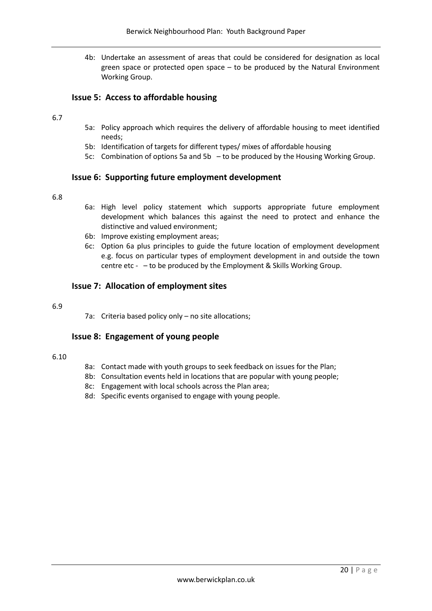4b: Undertake an assessment of areas that could be considered for designation as local green space or protected open space – to be produced by the Natural Environment Working Group.

### **Issue 5: Access to affordable housing**

### 6.7

- 5a: Policy approach which requires the delivery of affordable housing to meet identified needs;
- 5b: Identification of targets for different types/ mixes of affordable housing
- 5c: Combination of options 5a and 5b to be produced by the Housing Working Group.

### **Issue 6: Supporting future employment development**

#### 6.8

- 6a: High level policy statement which supports appropriate future employment development which balances this against the need to protect and enhance the distinctive and valued environment;
- 6b: Improve existing employment areas;
- 6c: Option 6a plus principles to guide the future location of employment development e.g. focus on particular types of employment development in and outside the town centre etc - – to be produced by the Employment & Skills Working Group.

### **Issue 7: Allocation of employment sites**

#### 6.9

7a: Criteria based policy only – no site allocations;

### **Issue 8: Engagement of young people**

#### 6.10

- 8a: Contact made with youth groups to seek feedback on issues for the Plan;
- 8b: Consultation events held in locations that are popular with young people;
- 8c: Engagement with local schools across the Plan area;
- 8d: Specific events organised to engage with young people.